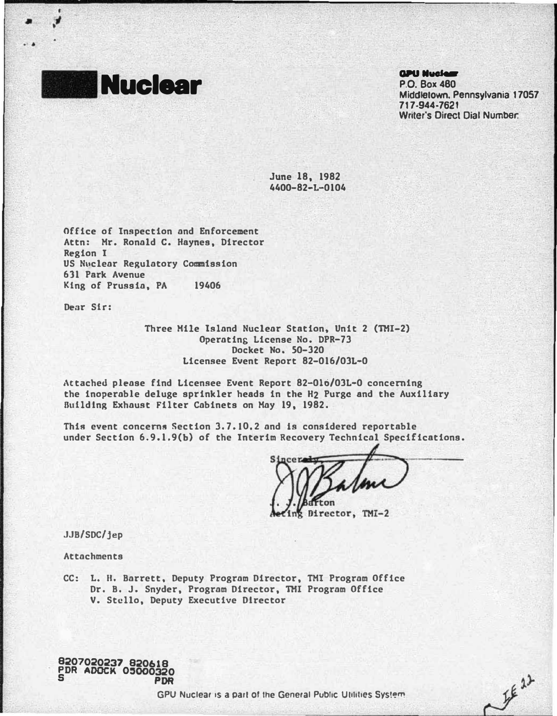

I • l

..

### **GPU Nuclear**

P.O. Box480 Middletown. Pennsylvania 17057 717 ·944-7621 Writer's Direct Dial Number:

 $Z^{f^{g1}}$ 

June 18, 1982 4400-82-L-0104

Office of Inspection and Enforcement Attn: Hr. Ronald c. Haynes, Director Region I US Nuclear Regulatory Commission 631 Park Avenue King of Prussia, PA 19406

Denr Sir:

Three Hile Island Nuclear Station, Unit 2 (THI-2) Operating License No. DPR-73 Docket No. 50-320 Licensee Event Report 82-016/0JL-0

,\ttached please find Licensee Event Report 82-010/0JL-0 concerning the inoperable deluge sprinkler heads in the H2 Purge and the Auxiliary Building Exhaust Filter Cabinets on Hay 19, 1982.

This event concerns Section 3.7.10,2 and ts considered reportable under Section 6.9.1.9(b} of the Interim Recovery Technical Specifications.

Director, TMI-2

JJB/SDC/jep

Attachments

CC: L. H. Barrett, Deputy Program Director, TMI Program Office Dr. B. J. Snyder, Program Director, THI Program Office V. Stcllo, Deputy Executive Director

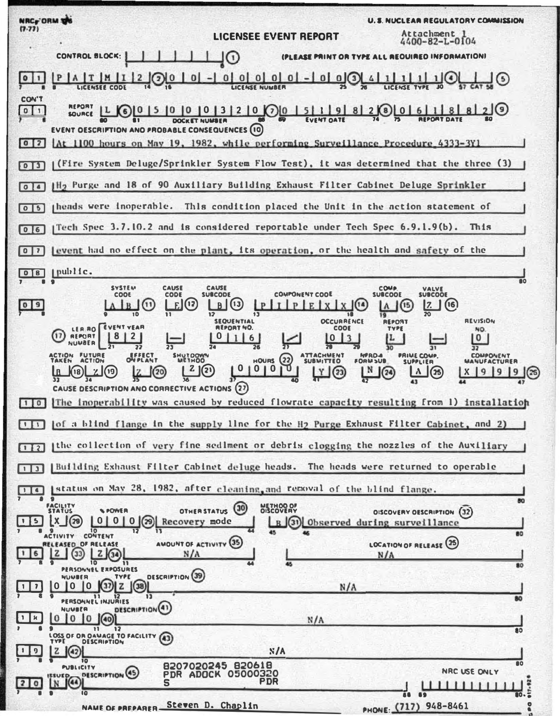**NRCy ORM THE U.S. NUCLEAR REGULATORY COMMISSION**  $(7.77)$ Attachment 1<br>4400-82-L-0104 **LICENSEE EVENT REPORT** (PLEASE PRINT OR TYPE ALL REQUIRED INFORMATION) CONTROL BLOCK:  $T$  $M$  $1$ <sup>2</sup>  $\sqrt{2}$  $|0|$  $0|0|0|0|0| - |0|$  $1(4)$  $0(3)$  $|0|1$ 4 **LIFEMSEE CODE LICENSE NUMBER** CON'T **REPORT**  $10 10 10 13 12 10 01 5 1 1 1 9 8 1 2 0 0 6 1 1 8 1$  $0<sup>1</sup>$  $\overline{10}$ SOURCE *ROCHET MUMBER* **EVENT OESCRIFTION AND PROBABLE CONSEQUENCES (10)** [At 1100 hours on May 19, 1982, while performing Surveillance Procedure 4333-3Y1  $\sqrt{0}$ (Fire System Deluge/Sprinkler System Flow Test), it was determined that the three (3)  $013$ IH<sub>2</sub> Purge and 18 of 90 Auxiliary Building Exhaust Filter Cabinet Deluge Sprinkler  $\sqrt{214}$ This condition placed the Unit in the action statement of theads were inoperable.  $\sqrt{15}$ [Tech Spec 3.7.10.2 and is considered reportable under Tech Spec 6.9.1.9(b). This  $\sqrt{0}$ event had no effect on the plant, its operation, or the health and safety of the  $\boxed{0}$ public.  $\sqrt{8}$ **SYSTEM** CAUSE CAUSE COMP. VALVE<br>SUBCOOE **COMPONENT COOE** COOE CODE **SURCODE**  $E(15)$  $09$  $B(13)$  $(16)$  $E[X|X]$  $(14)$  $|7\rangle$ I B  $\mathbb{P}$ A **REVISION** OCCURRENCE REPORT **SEQUENTIAL** LER RO EVENT VEAR **REPORT NO.** COOL TYPE NO. 67  $8$ REPORT  $\overline{2}$  $0|1|6$  $0<sup>1</sup>$ 0 NUMBER  $\overline{12}$ **FUTURI SHUTOOW SUBMITTED HERDA COMPONENT RIME COMP.**<br>RUBBLIED  $\Omega$ **HOURS MANUFACTURER** უ  $\mathbf{r}$  $2(2)$  $|0|0|$ | N  $|9|9$  $\sqrt{24}$  $9(25)$ [18]  $(20)$  $(23)$ ∣∧  $\mathbf{J}(\mathbf{r})$  $\mathbf{x}$ **CAUSE DESCRIPTION AND CORRECTIVE ACTIONS (27)**  $\boxed{1 \mid 0}$ [The inoperability was caused by reduced flowrate capacity resulting from 1) installation [of a blind flange in the supply line for the H<sub>2</sub> Purge Exhaust Filter Cabinet, and 2)  $\Box$ the collection of very fine sediment or debris clogging the nozzles of the Auviliary  $\Box$ | Building Exhaust Filter Cabinet deluge heads. The heads were returned to operable  $\Box$ status on May 28, 1982, after cleaning, and removal of the blind flange.  $\overline{111}$ OTHER STATUS (30) **FACILITY** METHOO OF **N. AOMER OISCOVERY OESCRIPTION (32)**  $\lceil 5 \rceil$  $\begin{bmatrix} X \\ 0 \end{bmatrix}$  $\begin{bmatrix} 0 & 0 & 0 \\ 0 & 0 & 0 \end{bmatrix}$  Recovery mode B (31) Observed during surveillance ACTIVITY CONTENT **BO** AMOUNT OF ACTIVITY (35) LOCATION OF RELEASE (25) RELEASED OF RELEASE  $|z|$ 6  $(33)$  $N/A$  $N/A$  $\overline{\mathbf{u}}$  $\overline{\mathbf{m}}$ PERSONNEL EXPOSURES DESCRIPTION (39) NUMBER TYPE  $(32)$   $|Z|$   $(38)$  $\mathbf 0$  $1010$  $N/A$ PERSONNEL INJURIES DESCRIPTION<sup>(4)</sup> NUVEER  $0 0 0 (40)$ | H  $N/A$  $<sub>1</sub>$ </sub>  $12$  $\overline{\mathbf{a}}$ S<br>LOSS OF OR OAMAGE TO FACILITY (43 **DESCRIPTION**  $N/A$  $(42)$  $\overline{10}$ 8207020245 820618 **820702024705000320**<br>PDR ADOCK 05000320 PUBLICITY NRC USE ONLY DESCRIPTION (45)  $\circ$ 69 PHONE (717) 948-8461 Steven D. Chaplin **NAME OF PREPARER**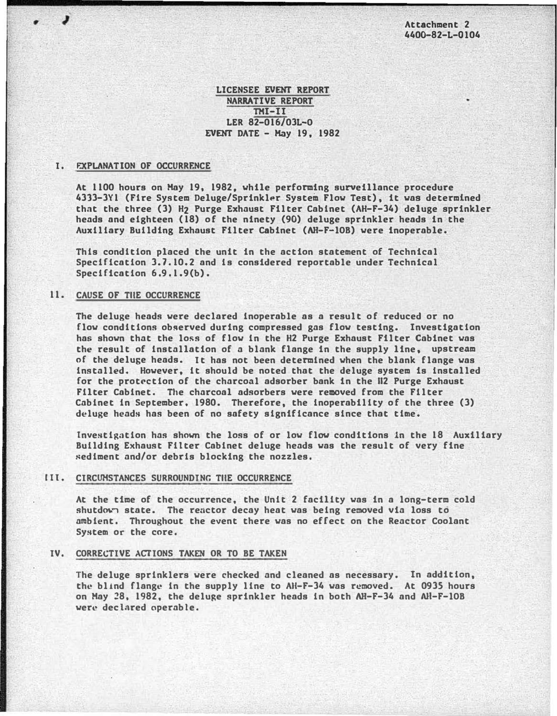Attachment 2 4400-82-L-Ql04

## LICENSEE EVENT REPORT NARRATIVE REPORT THI-II LER 82-016/03L-O EVENT DATE - Hay 19, 1982

#### I. FXPLANATION OF OCCURRENCE

 $\overline{\phantom{a}}$ 

At 1100 hours on Hay 19, 1982, while performing surveillance procedure 4333-3Y1 (Fire System Deluge/Sprinkler System Flow Test), it was determined that the three (3) H<sub>2</sub> Purge Exhaust Filter Cabinet (AH-F-34) deluge sprinkler heads and eighteen (18) of the ninety (90) deluge sprinkler heads in the Auxiliary Building Exhaust Filter Cabinet (AH-F-lOB) were inoperable.

This condition placed the unit in the action statement of Technical Specification 3.7.10.2 and is considered reportable under Technical Specification 6.9.1.9(b).

# 11. CAUSE OF TilE OCCURRENCE

The deluge heads were declared inoperable as a result of reduced or no flow conditions observed during compressed gas flow testing. Investigation has shown that the loss of flow in the H2 Purge Exhaust Filter Cabinet was the result of installation of a blank flange in the supply line, upstream of the deluge heads. It has not been determined when the blank flange was installed. However, it should be noted that the deluge system is installed for the protection of the charcoal adsorber bank in the H2 Purge Exhaust Filter Cabinet. The charcoal adsorbers were removed from the Filter Cabinet in September. 1980. Therefore, the inoperability of the three (3) deluge heads has been of no safety significance since that time.

Investigation has shown the loss of or low flow conditions ln the 18 Auxiliary Bullding Exhaust Filter Cabinet deluge heads was the result of very fine sediment and/or debris blocking the nozzles.

#### lll. CIRCUMSTANCES SURROUNDING TilE OCCURRENCE

At the time of the occurrence, the Unit 2 facility was in a long-term cold shutdown state. The reactor decay heat was being removed via loss to ambient. Throughout the event there was no effect on the Reactor Coolant System or the core.

### IV. CORRECTIVE ACTIONS TAKEN OR TO BE TAKEN

The deluge sprinklers were checked and cleaned as necessary. In addition, the blind flange in the supply line to AII-F-34 was removed. At 0935 hours on Hay 28, 1982, the deluge sprinkler heads in both AH-F-34 and �l-F-lOB were declared operable.